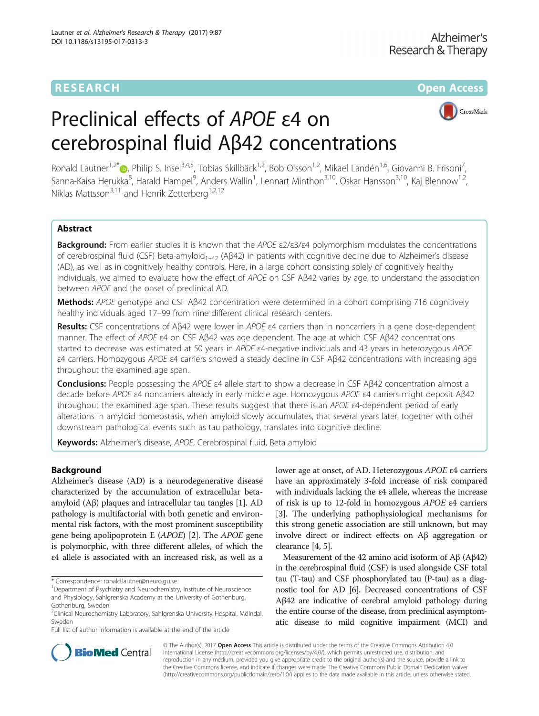# **RESEARCH CHE Open Access**



# Preclinical effects of APOE ε4 on cerebrospinal fluid Aβ42 concentrations

Ronald Lautner<sup>1[,](http://orcid.org/0000-0003-3523-1602)2\*</sup> (D, Philip S. Insel<sup>3,4,5</sup>, Tobias Skillbäck<sup>1,2</sup>, Bob Olsson<sup>1,2</sup>, Mikael Landén<sup>1,6</sup>, Giovanni B. Frisoni<sup>7</sup>, , Sanna-Kaisa Herukka<sup>8</sup>, Harald Hampel<sup>9</sup>, Anders Wallin<sup>1</sup>, Lennart Minthon<sup>3,10</sup>, Oskar Hansson<sup>3,10</sup>, Kaj Blennow<sup>1,2</sup>, Niklas Mattsson<sup>3,11</sup> and Henrik Zetterberg<sup>1,2,12</sup>

# Abstract

Background: From earlier studies it is known that the APOE  $\epsilon$ 2/ $\epsilon$ 3/ $\epsilon$ 4 polymorphism modulates the concentrations of cerebrospinal fluid (CSF) beta-amyloid<sub>1–42</sub> (Aβ42) in patients with cognitive decline due to Alzheimer's disease (AD), as well as in cognitively healthy controls. Here, in a large cohort consisting solely of cognitively healthy individuals, we aimed to evaluate how the effect of APOE on CSF Aβ42 varies by age, to understand the association between APOE and the onset of preclinical AD.

Methods: APOE genotype and CSF Aβ42 concentration were determined in a cohort comprising 716 cognitively healthy individuals aged 17–99 from nine different clinical research centers.

Results: CSF concentrations of Aβ42 were lower in APOE ε4 carriers than in noncarriers in a gene dose-dependent manner. The effect of APOE ε4 on CSF Aβ42 was age dependent. The age at which CSF Aβ42 concentrations started to decrease was estimated at 50 years in APOE ε4-negative individuals and 43 years in heterozygous APOE ε4 carriers. Homozygous APOE ε4 carriers showed a steady decline in CSF Aβ42 concentrations with increasing age throughout the examined age span.

**Conclusions:** People possessing the APOE ε4 allele start to show a decrease in CSF Aβ42 concentration almost a decade before APOE ε4 noncarriers already in early middle age. Homozygous APOE ε4 carriers might deposit Aβ42 throughout the examined age span. These results suggest that there is an APOE ε4-dependent period of early alterations in amyloid homeostasis, when amyloid slowly accumulates, that several years later, together with other downstream pathological events such as tau pathology, translates into cognitive decline.

Keywords: Alzheimer's disease, APOE, Cerebrospinal fluid, Beta amyloid

# Background

Alzheimer's disease (AD) is a neurodegenerative disease characterized by the accumulation of extracellular betaamyloid (Aβ) plaques and intracellular tau tangles [[1](#page-5-0)]. AD pathology is multifactorial with both genetic and environmental risk factors, with the most prominent susceptibility gene being apolipoprotein E (APOE) [\[2](#page-5-0)]. The APOE gene is polymorphic, with three different alleles, of which the ε4 allele is associated with an increased risk, as well as a

Full list of author information is available at the end of the article

lower age at onset, of AD. Heterozygous APOE ε4 carriers have an approximately 3-fold increase of risk compared with individuals lacking the ε4 allele, whereas the increase of risk is up to 12-fold in homozygous APOE ε4 carriers [[3\]](#page-5-0). The underlying pathophysiological mechanisms for this strong genetic association are still unknown, but may involve direct or indirect effects on Aβ aggregation or clearance [[4, 5](#page-5-0)].

Measurement of the 42 amino acid isoform of Aβ (Aβ42) in the cerebrospinal fluid (CSF) is used alongside CSF total tau (T-tau) and CSF phosphorylated tau (P-tau) as a diagnostic tool for AD [\[6\]](#page-5-0). Decreased concentrations of CSF Aβ42 are indicative of cerebral amyloid pathology during the entire course of the disease, from preclinical asymptomatic disease to mild cognitive impairment (MCI) and



© The Author(s). 2017 Open Access This article is distributed under the terms of the Creative Commons Attribution 4.0 International License [\(http://creativecommons.org/licenses/by/4.0/](http://creativecommons.org/licenses/by/4.0/)), which permits unrestricted use, distribution, and reproduction in any medium, provided you give appropriate credit to the original author(s) and the source, provide a link to the Creative Commons license, and indicate if changes were made. The Creative Commons Public Domain Dedication waiver [\(http://creativecommons.org/publicdomain/zero/1.0/](http://creativecommons.org/publicdomain/zero/1.0/)) applies to the data made available in this article, unless otherwise stated.

<sup>\*</sup> Correspondence: [ronald.lautner@neuro.gu.se](mailto:ronald.lautner@neuro.gu.se) <sup>1</sup>

<sup>&</sup>lt;sup>1</sup>Department of Psychiatry and Neurochemistry, Institute of Neuroscience and Physiology, Sahlgrenska Academy at the University of Gothenburg, Gothenburg, Sweden

<sup>2</sup> Clinical Neurochemistry Laboratory, Sahlgrenska University Hospital, Mölndal, Sweden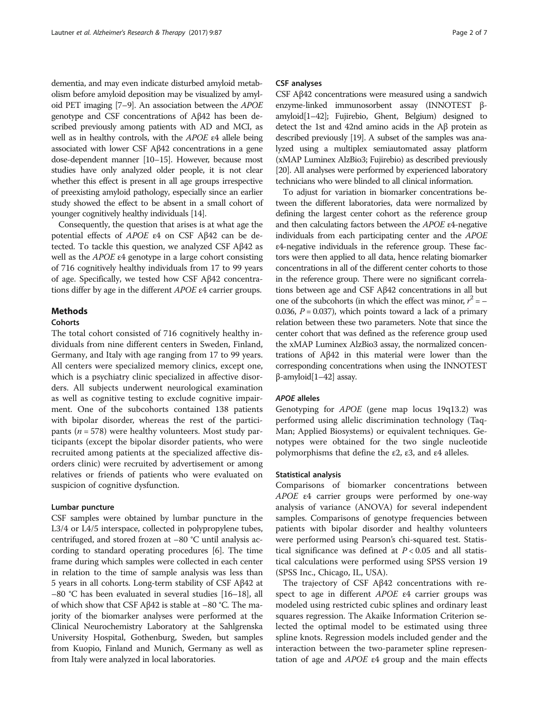dementia, and may even indicate disturbed amyloid metabolism before amyloid deposition may be visualized by amyloid PET imaging [\[7](#page-5-0)–[9](#page-5-0)]. An association between the APOE genotype and CSF concentrations of Aβ42 has been described previously among patients with AD and MCI, as well as in healthy controls, with the APOE ε4 allele being associated with lower CSF Aβ42 concentrations in a gene dose-dependent manner [\[10](#page-5-0)–[15\]](#page-5-0). However, because most studies have only analyzed older people, it is not clear whether this effect is present in all age groups irrespective of preexisting amyloid pathology, especially since an earlier study showed the effect to be absent in a small cohort of younger cognitively healthy individuals [\[14](#page-5-0)].

Consequently, the question that arises is at what age the potential effects of APOE ε4 on CSF Aβ42 can be detected. To tackle this question, we analyzed CSF Aβ42 as well as the APOE ε4 genotype in a large cohort consisting of 716 cognitively healthy individuals from 17 to 99 years of age. Specifically, we tested how CSF Aβ42 concentrations differ by age in the different APOE ε4 carrier groups.

# **Methods**

# **Cohorts**

The total cohort consisted of 716 cognitively healthy individuals from nine different centers in Sweden, Finland, Germany, and Italy with age ranging from 17 to 99 years. All centers were specialized memory clinics, except one, which is a psychiatry clinic specialized in affective disorders. All subjects underwent neurological examination as well as cognitive testing to exclude cognitive impairment. One of the subcohorts contained 138 patients with bipolar disorder, whereas the rest of the participants ( $n = 578$ ) were healthy volunteers. Most study participants (except the bipolar disorder patients, who were recruited among patients at the specialized affective disorders clinic) were recruited by advertisement or among relatives or friends of patients who were evaluated on suspicion of cognitive dysfunction.

### Lumbar puncture

CSF samples were obtained by lumbar puncture in the L3/4 or L4/5 interspace, collected in polypropylene tubes, centrifuged, and stored frozen at –80 °C until analysis according to standard operating procedures [[6](#page-5-0)]. The time frame during which samples were collected in each center in relation to the time of sample analysis was less than 5 years in all cohorts. Long-term stability of CSF Aβ42 at –80 °C has been evaluated in several studies [\[16](#page-5-0)–[18](#page-5-0)], all of which show that CSF Aβ42 is stable at –80 °C. The majority of the biomarker analyses were performed at the Clinical Neurochemistry Laboratory at the Sahlgrenska University Hospital, Gothenburg, Sweden, but samples from Kuopio, Finland and Munich, Germany as well as from Italy were analyzed in local laboratories.

#### CSF analyses

CSF Aβ42 concentrations were measured using a sandwich enzyme-linked immunosorbent assay (INNOTEST βamyloid[1–42]; Fujirebio, Ghent, Belgium) designed to detect the 1st and 42nd amino acids in the Aβ protein as described previously [\[19](#page-5-0)]. A subset of the samples was analyzed using a multiplex semiautomated assay platform (xMAP Luminex AlzBio3; Fujirebio) as described previously [[20](#page-5-0)]. All analyses were performed by experienced laboratory technicians who were blinded to all clinical information.

To adjust for variation in biomarker concentrations between the different laboratories, data were normalized by defining the largest center cohort as the reference group and then calculating factors between the APOE ε4-negative individuals from each participating center and the APOE ε4-negative individuals in the reference group. These factors were then applied to all data, hence relating biomarker concentrations in all of the different center cohorts to those in the reference group. There were no significant correlations between age and CSF Aβ42 concentrations in all but one of the subcohorts (in which the effect was minor,  $r^2 = -$ 0.036,  $P = 0.037$ ), which points toward a lack of a primary relation between these two parameters. Note that since the center cohort that was defined as the reference group used the xMAP Luminex AlzBio3 assay, the normalized concentrations of Aβ42 in this material were lower than the corresponding concentrations when using the INNOTEST β-amyloid[1–42] assay.

#### APOE alleles

Genotyping for APOE (gene map locus 19q13.2) was performed using allelic discrimination technology (Taq-Man; Applied Biosystems) or equivalent techniques. Genotypes were obtained for the two single nucleotide polymorphisms that define the ε2, ε3, and ε4 alleles.

#### Statistical analysis

Comparisons of biomarker concentrations between APOE ε4 carrier groups were performed by one-way analysis of variance (ANOVA) for several independent samples. Comparisons of genotype frequencies between patients with bipolar disorder and healthy volunteers were performed using Pearson's chi-squared test. Statistical significance was defined at  $P < 0.05$  and all statistical calculations were performed using SPSS version 19 (SPSS Inc., Chicago, IL, USA).

The trajectory of CSF Aβ42 concentrations with respect to age in different  $APOE$   $\epsilon$ 4 carrier groups was modeled using restricted cubic splines and ordinary least squares regression. The Akaike Information Criterion selected the optimal model to be estimated using three spline knots. Regression models included gender and the interaction between the two-parameter spline representation of age and  $APOE$   $\epsilon$ 4 group and the main effects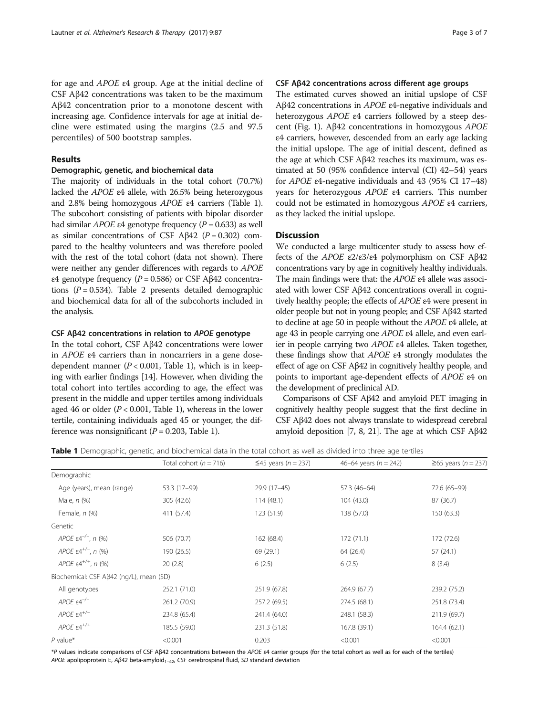for age and APOE ε4 group. Age at the initial decline of CSF Aβ42 concentrations was taken to be the maximum Aβ42 concentration prior to a monotone descent with increasing age. Confidence intervals for age at initial decline were estimated using the margins (2.5 and 97.5 percentiles) of 500 bootstrap samples.

#### Results

## Demographic, genetic, and biochemical data

The majority of individuals in the total cohort (70.7%) lacked the APOE ε4 allele, with 26.5% being heterozygous and 2.8% being homozygous APOE ε4 carriers (Table 1). The subcohort consisting of patients with bipolar disorder had similar *APOE* ε4 genotype frequency ( $P = 0.633$ ) as well as similar concentrations of CSF Aβ42 ( $P = 0.302$ ) compared to the healthy volunteers and was therefore pooled with the rest of the total cohort (data not shown). There were neither any gender differences with regards to APOE ε4 genotype frequency ( $P = 0.586$ ) or CSF Aβ42 concentrations ( $P = 0.534$ ). Table [2](#page-3-0) presents detailed demographic and biochemical data for all of the subcohorts included in the analysis.

#### CSF Aβ42 concentrations in relation to APOE genotype

In the total cohort, CSF Aβ42 concentrations were lower in APOE ε4 carriers than in noncarriers in a gene dosedependent manner ( $P < 0.001$ , Table 1), which is in keeping with earlier findings [\[14\]](#page-5-0). However, when dividing the total cohort into tertiles according to age, the effect was present in the middle and upper tertiles among individuals aged 46 or older  $(P < 0.001$ , Table 1), whereas in the lower tertile, containing individuals aged 45 or younger, the difference was nonsignificant ( $P = 0.203$ , Table 1).

#### CSF Aβ42 concentrations across different age groups

The estimated curves showed an initial upslope of CSF Aβ42 concentrations in APOE ε4-negative individuals and heterozygous APOE ε4 carriers followed by a steep descent (Fig. [1](#page-4-0)). Aβ42 concentrations in homozygous APOE ε4 carriers, however, descended from an early age lacking the initial upslope. The age of initial descent, defined as the age at which CSF Aβ42 reaches its maximum, was estimated at 50 (95% confidence interval (CI) 42–54) years for APOE ε4-negative individuals and 43 (95% CI 17–48) years for heterozygous APOE ε4 carriers. This number could not be estimated in homozygous APOE ε4 carriers, as they lacked the initial upslope.

# **Discussion**

We conducted a large multicenter study to assess how effects of the APOE ε2/ε3/ε4 polymorphism on CSF Aβ42 concentrations vary by age in cognitively healthy individuals. The main findings were that: the APOE ε4 allele was associated with lower CSF Aβ42 concentrations overall in cognitively healthy people; the effects of APOE ε4 were present in older people but not in young people; and CSF Aβ42 started to decline at age 50 in people without the APOE ε4 allele, at age 43 in people carrying one APOE ε4 allele, and even earlier in people carrying two APOE ε4 alleles. Taken together, these findings show that APOE ε4 strongly modulates the effect of age on CSF Aβ42 in cognitively healthy people, and points to important age-dependent effects of APOE ε4 on the development of preclinical AD.

Comparisons of CSF Aβ42 and amyloid PET imaging in cognitively healthy people suggest that the first decline in CSF Aβ42 does not always translate to widespread cerebral amyloid deposition [\[7](#page-5-0), [8](#page-5-0), [21](#page-5-0)]. The age at which CSF Aβ42

Table 1 Demographic, genetic, and biochemical data in the total cohort as well as divided into three age tertiles

|                                         | Total cohort ( $n = 716$ ) | $\leq$ 45 years (n = 237) | 46-64 years ( $n = 242$ ) | $≥65$ years ( <i>n</i> = 237) |
|-----------------------------------------|----------------------------|---------------------------|---------------------------|-------------------------------|
| Demographic                             |                            |                           |                           |                               |
| Age (years), mean (range)               | 53.3 (17-99)               | 29.9 (17-45)              | 57.3 (46-64)              | 72.6 (65-99)                  |
| Male, $n$ $(\%)$                        | 305 (42.6)                 | 114(48.1)                 | 104(43.0)                 | 87 (36.7)                     |
| Female, $n$ $(\%)$                      | 411 (57.4)                 | 123 (51.9)                | 138 (57.0)                | 150 (63.3)                    |
| Genetic                                 |                            |                           |                           |                               |
| APOE $\varepsilon 4^{-/-}$ , n (%)      | 506 (70.7)                 | 162 (68.4)                | 172(71.1)                 | 172 (72.6)                    |
| APOE $\varepsilon 4^{+/-}$ , n (%)      | 190 (26.5)                 | 69 (29.1)                 | 64 (26.4)                 | 57(24.1)                      |
| APOE $\varepsilon 4^{+/+}$ , n (%)      | 20(2.8)                    | 6(2.5)                    | 6(2.5)                    | 8(3.4)                        |
| Biochemical: CSF Aβ42 (ng/L), mean (SD) |                            |                           |                           |                               |
| All genotypes                           | 252.1 (71.0)               | 251.9 (67.8)              | 264.9 (67.7)              | 239.2 (75.2)                  |
| APOE $\varepsilon 4^{-/-}$              | 261.2 (70.9)               | 257.2 (69.5)              | 274.5 (68.1)              | 251.8 (73.4)                  |
| APOE $\varepsilon 4^{+/-}$              | 234.8 (65.4)               | 241.4 (64.0)              | 248.1 (58.3)              | 211.9 (69.7)                  |
| APOE $\varepsilon 4^{+/+}$              | 185.5 (59.0)               | 231.3 (51.8)              | 167.8 (39.1)              | 164.4(62.1)                   |
| $P$ value*                              | < 0.001                    | 0.203                     | < 0.001                   | < 0.001                       |

\*P values indicate comparisons of CSF Aβ42 concentrations between the APOE ε4 carrier groups (for the total cohort as well as for each of the tertiles) APOE apolipoprotein E, Aβ42 beta-amyloid<sub>1–42</sub>, CSF cerebrospinal fluid, SD standard deviation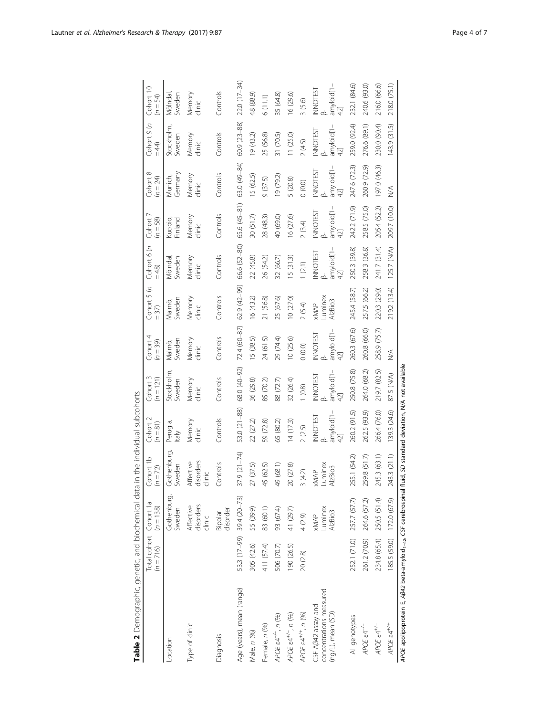<span id="page-3-0"></span>

| Table 2 Demographic, genetic, and biochemical data                                                                            |                                       |                                  |                                  | in the individual subcohorts               |                                      |                                      |                                  |                                        |                                       |                                  |                                      |                               |
|-------------------------------------------------------------------------------------------------------------------------------|---------------------------------------|----------------------------------|----------------------------------|--------------------------------------------|--------------------------------------|--------------------------------------|----------------------------------|----------------------------------------|---------------------------------------|----------------------------------|--------------------------------------|-------------------------------|
|                                                                                                                               | Total cohort Cohort 1a<br>$(n = 716)$ | $(n = 138)$                      | Cohort 1b<br>$n = 72$<br>S       | Cohort 2<br>$(n = 81)$                     | Cohort 3<br>$(n = 121)$              | Cohort 4<br>$(n = 39)$               | Cohort 5 (n<br>$=37$             | Cohort 6 (n<br>$=48$                   | Cohort<br>$(n = 58)$                  | Cohort 8<br>$(n = 24)$           | Cohort 9 (n<br>$=44$                 | Cohort 10<br>$(n = 54)$       |
| Location                                                                                                                      |                                       | Gothenburg,<br>Sweden            | Gothenburg,<br>Sweden            | Perugia,<br>Italy                          | Stockholm,<br>Sweden                 | Malmö,<br>Sweden                     | Malmö,<br>Sweden                 | Mölndal,<br>Sweden                     | Kuopio,<br>Finland                    | Germany<br>Munich,               | Stockholm,<br>Sweden                 | Mölndal,<br>Sweden            |
| Type of clinic                                                                                                                |                                       | disorders<br>Affective<br>clinic | Affective<br>disorders<br>clinic | Memory<br>clinic                           | Memory<br>dinic                      | Memory<br>clinic                     | Memory<br>dinic                  | Memory<br>clinic                       | Memory<br>clinic                      | Memory<br>clinic                 | Memory<br>clinic                     | Memory<br>clinic              |
| Diagnosis                                                                                                                     |                                       | disorder<br>Bipolar              | Controls                         | Controls                                   | Controls                             | Controls                             | Controls                         | Controls                               | Controls                              | Controls                         | Controls                             | Controls                      |
| Age (years), mean (range)                                                                                                     |                                       | 53.3 (17-99) 39.4 (20-73)        | $(5(-1)(9)$<br>$\dot{\gamma}$    | 53.0 (21-88)                               | 68.0 (40-92)                         |                                      | 72.4 (60-87) 62.9 (42-99)        | 66.6 (52-80) 65.6 (45-81) 63.0 (49-84) |                                       |                                  | 60.9 (23-88)                         | 22.0 (17-34)                  |
| Male, n (%)                                                                                                                   | 305 (42.6)                            | 55 (39.9)                        | 27 (37.5)                        | 22 (27.2)                                  | 36 (29.8)                            | 15 (38.5)                            | 16(43.2)                         | 22(45.8)                               | 30(51.7)                              | 15 (62.5)                        | 19(43.2)                             | 48 (88.9)                     |
| Female, n (%)                                                                                                                 | 411 (57.4)                            | 83 (60.1)                        | $-5(62.5)$<br>4                  | 59 (72.8)                                  | 85 (70.2)                            | 24 (61.5)                            | 21 (56.8)                        | 26 (54.2)                              | 28 (48.3)                             | 9(37.5)                          | 25 (56.8)                            | 6(11.1)                       |
| APOE e4 <sup>-/-</sup> , n (%)                                                                                                | 506 (70.7)                            | 93 (67.4)                        | $-9(68.1)$<br>4                  | 65 (80.2)                                  | 88 (72.7)                            | 29 (74.4)                            | 25 (67.6)                        | 32 (66.7)                              | 40 (69.0)                             | 19 (79.2)                        | 31 (70.5)                            | 35 (64.8)                     |
| APOE $\varepsilon 4^{+/-}$ , n (%)                                                                                            | 190 (26.5)                            | 41 (29.7)                        | 0(27.8)<br>$\scriptstyle\sim$    | 14(173)                                    | 32 (26.4)                            | 10(25.6)                             | 10(27.0)                         | 15(31.3)                               | 16 (27.6)                             | 5 (20.8)                         | 11(25.0)                             | 16 (29.6)                     |
| APOE $\varepsilon 4^{+/+}$ , n (%)                                                                                            | 20(2.8)                               | 4 (2.9)                          | (4.2)                            | 2(2.5)                                     | 1(0.8)                               | (0.0)                                | 2(5.4)                           | 1(2.1)                                 | 2(3.4)                                | (0.0)                            | 2(4.5)                               | 3(5.6)                        |
| concentrations measured<br>CSF A <sub>B42</sub> assay and<br>(ng/L), mean (SD)                                                |                                       | Luminex<br>A ZB O3<br>XMAP       | xMAP<br>Luminex<br>AlzBio3       | amyloid[1-<br><b>INNOTEST</b><br>42]<br>ക് | amyloid[1- $42$ ]<br><b>INNOTEST</b> | amyloid[1-<br><b>INNOTEST</b><br>42] | uminex<br>AlzBio3<br><b>AWWX</b> | amyloid[1-<br>INNOTEST<br>42]          | amyloid[1 – $42$ ]<br><b>INNOTEST</b> | amyloid[1-<br>42]<br>INNOTEST    | amyloid[1-<br>42]<br><b>INNOTEST</b> | amyloid[1– $42$ ]<br>INNOTEST |
| All genotypes                                                                                                                 |                                       | 252.1 (71.0) 257.7 (57.7)        | 55.1 (54.2)<br>$\sim$            | 260.2 (91.5)                               | 250.8 (75.8)                         | 260.3 (67.6)                         | 245.4 (58.7)                     | 250.3 (39.8)                           | 242.2 (71.9)                          | 247.6 (72.3)                     | 259.0 (92.4)                         | 232.1 (84.6)                  |
| APOE e4 <sup>-/-</sup>                                                                                                        | 261.2 (70.9)                          | 264.6 (57.2)                     | 59.8 (51.7)                      | 262.5 (93.9)                               | 264.0 (68.2)                         | 260.8 (66.0)                         | 257.5 (66.2)                     | 258.3 (36.8)                           | 258.5 (75.0)                          | 260.9 (72.9)                     | 276.6 (89.1)                         | 240.6 (93.0)                  |
| APOE <sub>E4<sup>+/-</sup></sub>                                                                                              | 234.8 (65.4)                          | 250.5 (51.4)                     | 245.3 (63.1)                     | 266.4 (76.0)                               | 219.7 (82.5)                         | 258.9 (75.7)                         | 220.3 (29.0)                     | 241.7 (31.4)                           | 205.4 (52.2)                          | 197.0 (46.3)                     | 230.0 (90.4)                         | 216.0 (66.6)                  |
| APOE <sub>E4</sub> +/+                                                                                                        |                                       | (67.9) 0.571 (59.0) 155.5        | 243.3 (21.1)                     | 139.3 (24.6)                               | 87.5 (N/A)                           | $\lessapprox$                        | 219.2 (13.4)                     | 125.7 (N/A)                            | 209.7 (10.0)                          | $\stackrel{\triangleleft}{\geq}$ | 143.9 (31.5)                         | 218.0 (75.1)                  |
| APOE apolipoprotein E, Aß42 beta-amyloid <sub>1 -42</sub> , CSF cerebrospinal fluid, SD standard deviation, N/A not available |                                       |                                  |                                  |                                            |                                      |                                      |                                  |                                        |                                       |                                  |                                      |                               |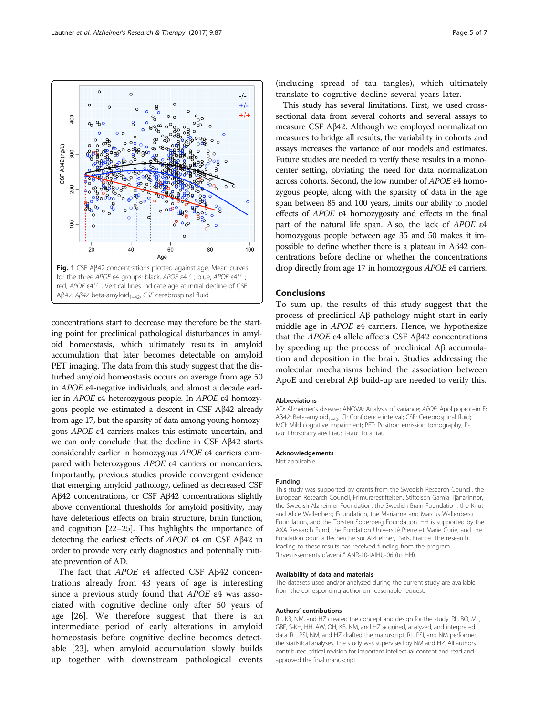concentrations start to decrease may therefore be the starting point for preclinical pathological disturbances in amyloid homeostasis, which ultimately results in amyloid accumulation that later becomes detectable on amyloid PET imaging. The data from this study suggest that the disturbed amyloid homeostasis occurs on average from age 50 in APOE ε4-negative individuals, and almost a decade earlier in APOE ε4 heterozygous people. In APOE ε4 homozygous people we estimated a descent in CSF Aβ42 already from age 17, but the sparsity of data among young homozygous APOE ε4 carriers makes this estimate uncertain, and we can only conclude that the decline in CSF Aβ42 starts considerably earlier in homozygous APOE ε4 carriers compared with heterozygous APOE ε4 carriers or noncarriers. Importantly, previous studies provide convergent evidence that emerging amyloid pathology, defined as decreased CSF Aβ42 concentrations, or CSF Aβ42 concentrations slightly above conventional thresholds for amyloid positivity, may have deleterious effects on brain structure, brain function, and cognition [\[22](#page-6-0)–[25](#page-6-0)]. This highlights the importance of detecting the earliest effects of APOE ε4 on CSF Aβ42 in order to provide very early diagnostics and potentially initiate prevention of AD.

The fact that APOE ε4 affected CSF Aβ42 concentrations already from 43 years of age is interesting since a previous study found that APOE ε4 was associated with cognitive decline only after 50 years of age [[26\]](#page-6-0). We therefore suggest that there is an intermediate period of early alterations in amyloid homeostasis before cognitive decline becomes detectable [[23\]](#page-6-0), when amyloid accumulation slowly builds up together with downstream pathological events

(including spread of tau tangles), which ultimately

This study has several limitations. First, we used crosssectional data from several cohorts and several assays to measure CSF Aβ42. Although we employed normalization measures to bridge all results, the variability in cohorts and assays increases the variance of our models and estimates. Future studies are needed to verify these results in a monocenter setting, obviating the need for data normalization across cohorts. Second, the low number of APOE ε4 homozygous people, along with the sparsity of data in the age span between 85 and 100 years, limits our ability to model effects of APOE ε4 homozygosity and effects in the final part of the natural life span. Also, the lack of APOE ε4 homozygous people between age 35 and 50 makes it impossible to define whether there is a plateau in Aβ42 concentrations before decline or whether the concentrations drop directly from age 17 in homozygous APOE ε4 carriers.

#### Conclusions

To sum up, the results of this study suggest that the process of preclinical Aβ pathology might start in early middle age in  $APOE$   $\varepsilon$ 4 carriers. Hence, we hypothesize that the APOE ε4 allele affects CSF Aβ42 concentrations by speeding up the process of preclinical Aβ accumulation and deposition in the brain. Studies addressing the molecular mechanisms behind the association between ApoE and cerebral Aβ build-up are needed to verify this.

#### Abbreviations

AD: Alzheimer's disease; ANOVA: Analysis of variance; APOE: Apolipoprotein E; Aβ42: Beta-amyloid<sub>1-42</sub>; CI: Confidence interval; CSF: Cerebrospinal fluid; MCI: Mild cognitive impairment; PET: Positron emission tomography; Ptau: Phosphorylated tau; T-tau: Total tau

#### Acknowledgements

Not applicable

#### Funding

This study was supported by grants from the Swedish Research Council, the European Research Council, Frimurarestiftelsen, Stiftelsen Gamla Tjänarinnor, the Swedish Alzheimer Foundation, the Swedish Brain Foundation, the Knut and Alice Wallenberg Foundation, the Marianne and Marcus Wallenberg Foundation, and the Torsten Söderberg Foundation. HH is supported by the AXA Research Fund, the Fondation Université Pierre et Marie Curie, and the Fondation pour la Recherche sur Alzheimer, Paris, France. The research leading to these results has received funding from the program "Investissements d'avenir" ANR-10-IAIHU-06 (to HH).

#### Availability of data and materials

The datasets used and/or analyzed during the current study are available from the corresponding author on reasonable request.

#### Authors' contributions

RL, KB, NM, and HZ created the concept and design for the study. RL, BO, ML, GBF, S-KH, HH, AW, OH, KB, NM, and HZ acquired, analyzed, and interpreted data. RL, PSI, NM, and HZ drafted the manuscript. RL, PSI, and NM performed the statistical analyses. The study was supervised by NM and HZ. All authors contributed critical revision for important intellectual content and read and approved the final manuscript.

translate to cognitive decline several years later.

<span id="page-4-0"></span>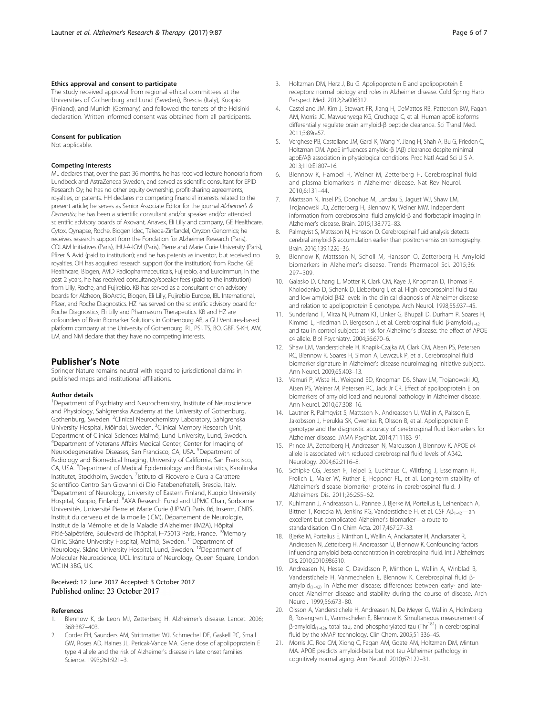#### <span id="page-5-0"></span>Ethics approval and consent to participate

The study received approval from regional ethical committees at the Universities of Gothenburg and Lund (Sweden), Brescia (Italy), Kuopio (Finland), and Munich (Germany) and followed the tenets of the Helsinki declaration. Written informed consent was obtained from all participants.

#### Consent for publication

Not applicable.

#### Competing interests

ML declares that, over the past 36 months, he has received lecture honoraria from Lundbeck and AstraZeneca Sweden, and served as scientific consultant for EPID Research Oy; he has no other equity ownership, profit-sharing agreements, royalties, or patents. HH declares no competing financial interests related to the present article; he serves as Senior Associate Editor for the journal Alzheimer's & Dementia; he has been a scientific consultant and/or speaker and/or attended scientific advisory boards of Axovant, Anavex, Eli Lilly and company, GE Healthcare, Cytox, Qynapse, Roche, Biogen Idec, Takeda-Zinfandel, Oryzon Genomics; he receives research support from the Fondation for Alzheimer Research (Paris), COLAM Initiatives (Paris), IHU-A-ICM (Paris), Pierre and Marie Curie University (Paris), Pfizer & Avid (paid to institution); and he has patents as inventor, but received no royalties. OH has acquired research support (for the institution) from Roche, GE Healthcare, Biogen, AVID Radiopharmaceuticals, Fujirebio, and Euroimmun; in the past 2 years, he has received consultancy/speaker fees (paid to the institution) from Lilly, Roche, and Fujirebio. KB has served as a consultant or on advisory boards for Alzheon, BioArctic, Biogen, Eli Lilly, Fujirebio Europe, IBL International, Pfizer, and Roche Diagnostics. HZ has served on the scientific advisory board for Roche Diagnostics, Eli Lilly and Pharmasum Therapeutics. KB and HZ are cofounders of Brain Biomarker Solutions in Gothenburg AB, a GU Ventures-based platform company at the University of Gothenburg. RL, PSI, TS, BO, GBF, S-KH, AW, LM, and NM declare that they have no competing interests.

#### Publisher's Note

Springer Nature remains neutral with regard to jurisdictional claims in published maps and institutional affiliations.

#### Author details

<sup>1</sup>Department of Psychiatry and Neurochemistry, Institute of Neuroscience and Physiology, Sahlgrenska Academy at the University of Gothenburg, Gothenburg, Sweden. <sup>2</sup>Clinical Neurochemistry Laboratory, Sahlgrenska University Hospital, Mölndal, Sweden. <sup>3</sup>Clinical Memory Research Unit, Department of Clinical Sciences Malmö, Lund University, Lund, Sweden. <sup>4</sup>Department of Veterans Affairs Medical Center, Center for Imaging of Neurodegenerative Diseases, San Francisco, CA, USA. <sup>5</sup>Department of Radiology and Biomedical Imaging, University of California, San Francisco, CA, USA. <sup>6</sup>Department of Medical Epidemiology and Biostatistics, Karolinska Institutet, Stockholm, Sweden. <sup>7</sup>Istituto di Ricovero e Cura a Carattere Scientifico Centro San Giovanni di Dio Fatebenefratelli, Brescia, Italy. <sup>8</sup>Department of Neurology, University of Eastern Finland, Kuopio University<br>Hospital, Kuopio, Finland. <sup>9</sup>AXA Research Fund and UPMC Chair, Sorbonne Universités, Université Pierre et Marie Curie (UPMC) Paris 06, Inserm, CNRS, Institut du cerveau et de la moelle (ICM), Département de Neurologie, Institut de la Mémoire et de la Maladie d'Alzheimer (IM2A), Hôpital Pitié-Salpêtrière, Boulevard de l'hôpital, F-75013 Paris, France. <sup>10</sup>Memory Clinic, Skåne University Hospital, Malmö, Sweden. <sup>11</sup>Department of Neurology, Skåne University Hospital, Lund, Sweden. <sup>12</sup>Department of Molecular Neuroscience, UCL Institute of Neurology, Queen Square, London WC1N 3RG, LIK

#### Received: 12 June 2017 Accepted: 3 October 2017 Published online: 23 October 2017

#### References

- 1. Blennow K, de Leon MJ, Zetterberg H. Alzheimer's disease. Lancet. 2006; 368:387–403.
- 2. Corder EH, Saunders AM, Strittmatter WJ, Schmechel DE, Gaskell PC, Small GW, Roses AD, Haines JL, Pericak-Vance MA. Gene dose of apolipoprotein E type 4 allele and the risk of Alzheimer's disease in late onset families. Science. 1993;261:921–3.
- 3. Holtzman DM, Herz J, Bu G. Apolipoprotein E and apolipoprotein E receptors: normal biology and roles in Alzheimer disease. Cold Spring Harb Perspect Med. 2012;2:a006312.
- 4. Castellano JM, Kim J, Stewart FR, Jiang H, DeMattos RB, Patterson BW, Fagan AM, Morris JC, Mawuenyega KG, Cruchaga C, et al. Human apoE isoforms differentially regulate brain amyloid-β peptide clearance. Sci Transl Med. 2011;3:89ra57.
- 5. Verghese PB, Castellano JM, Garai K, Wang Y, Jiang H, Shah A, Bu G, Frieden C, Holtzman DM. ApoE influences amyloid-β (Aβ) clearance despite minimal apoE/Aβ association in physiological conditions. Proc Natl Acad Sci U S A. 2013;110:E1807–16.
- 6. Blennow K, Hampel H, Weiner M, Zetterberg H. Cerebrospinal fluid and plasma biomarkers in Alzheimer disease. Nat Rev Neurol. 2010;6:131–44.
- Mattsson N, Insel PS, Donohue M, Landau S, Jagust WJ, Shaw LM, Trojanowski JQ, Zetterberg H, Blennow K, Weiner MW. Independent information from cerebrospinal fluid amyloid-β and florbetapir imaging in Alzheimer's disease. Brain. 2015;138:772–83.
- 8. Palmqvist S, Mattsson N, Hansson O. Cerebrospinal fluid analysis detects cerebral amyloid-β accumulation earlier than positron emission tomography. Brain. 2016;139:1226–36.
- Blennow K, Mattsson N, Scholl M, Hansson O, Zetterberg H. Amyloid biomarkers in Alzheimer's disease. Trends Pharmacol Sci. 2015;36: 297–309.
- 10. Galasko D, Chang L, Motter R, Clark CM, Kaye J, Knopman D, Thomas R, Kholodenko D, Schenk D, Lieberburg I, et al. High cerebrospinal fluid tau and low amyloid β42 levels in the clinical diagnosis of Alzheimer disease and relation to apolipoprotein E genotype. Arch Neurol. 1998;55:937–45.
- 11. Sunderland T, Mirza N, Putnam KT, Linker G, Bhupali D, Durham R, Soares H, Kimmel L, Friedman D, Bergeson J, et al. Cerebrospinal fluid β-amyloid<sub>1-42</sub> and tau in control subjects at risk for Alzheimer's disease: the effect of APOE ε4 allele. Biol Psychiatry. 2004;56:670–6.
- 12. Shaw LM, Vanderstichele H, Knapik-Czajka M, Clark CM, Aisen PS, Petersen RC, Blennow K, Soares H, Simon A, Lewczuk P, et al. Cerebrospinal fluid biomarker signature in Alzheimer's disease neuroimaging initiative subjects. Ann Neurol. 2009;65:403–13.
- 13. Vemuri P, Wiste HJ, Weigand SD, Knopman DS, Shaw LM, Trojanowski JQ, Aisen PS, Weiner M, Petersen RC, Jack Jr CR. Effect of apolipoprotein E on biomarkers of amyloid load and neuronal pathology in Alzheimer disease. Ann Neurol. 2010;67:308–16.
- 14. Lautner R, Palmqvist S, Mattsson N, Andreasson U, Wallin A, Palsson E, Jakobsson J, Herukka SK, Owenius R, Olsson B, et al. Apolipoprotein E genotype and the diagnostic accuracy of cerebrospinal fluid biomarkers for Alzheimer disease. JAMA Psychiat. 2014;71:1183–91.
- 15. Prince JA, Zetterberg H, Andreasen N, Marcusson J, Blennow K. APOE ε4 allele is associated with reduced cerebrospinal fluid levels of Aβ42. Neurology. 2004;62:2116–8.
- 16. Schipke CG, Jessen F, Teipel S, Luckhaus C, Wiltfang J, Esselmann H, Frolich L, Maier W, Ruther E, Heppner FL, et al. Long-term stability of Alzheimer's disease biomarker proteins in cerebrospinal fluid. J Alzheimers Dis. 2011;26:255–62.
- 17. Kuhlmann J, Andreasson U, Pannee J, Bjerke M, Portelius E, Leinenbach A, Bittner T, Korecka M, Jenkins RG, Vanderstichele H, et al. CSF  $AB_{1-42}$ —an excellent but complicated Alzheimer's biomarker—a route to standardisation. Clin Chim Acta. 2017;467:27–33.
- 18. Bjerke M, Portelius E, Minthon L, Wallin A, Anckarsater H, Anckarsater R, Andreasen N, Zetterberg H, Andreasson U, Blennow K. Confounding factors influencing amyloid beta concentration in cerebrospinal fluid. Int J Alzheimers Dis. 2010;2010:986310.
- 19. Andreasen N, Hesse C, Davidsson P, Minthon L, Wallin A, Winblad B, Vanderstichele H, Vanmechelen E, Blennow K. Cerebrospinal fluid βamyloid<sub>(1-42)</sub> in Alzheimer disease: differences between early- and lateonset Alzheimer disease and stability during the course of disease. Arch Neurol. 1999;56:673–80.
- 20. Olsson A, Vanderstichele H, Andreasen N, De Meyer G, Wallin A, Holmberg B, Rosengren L, Vanmechelen E, Blennow K. Simultaneous measurement of β-amyloid<sub>(1-42)</sub>, total tau, and phosphorylated tau (Thr<sup>181</sup>) in cerebrospinal fluid by the xMAP technology. Clin Chem. 2005;51:336–45.
- 21. Morris JC, Roe CM, Xiong C, Fagan AM, Goate AM, Holtzman DM, Mintun MA. APOE predicts amyloid-beta but not tau Alzheimer pathology in cognitively normal aging. Ann Neurol. 2010;67:122–31.